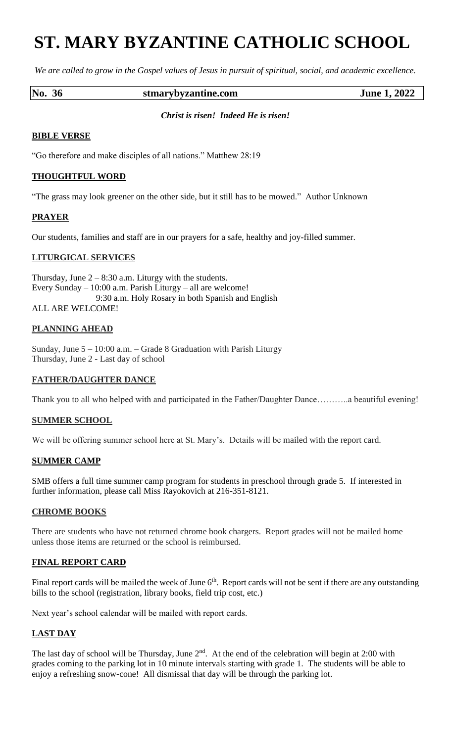# **ST. MARY BYZANTINE CATHOLIC SCHOOL**

*We are called to grow in the Gospel values of Jesus in pursuit of spiritual, social, and academic excellence.*

# **No. 36 stmarybyzantine.com June 1, 2022**

#### *Christ is risen! Indeed He is risen!*

#### **BIBLE VERSE**

"Go therefore and make disciples of all nations." Matthew 28:19

#### **THOUGHTFUL WORD**

"The grass may look greener on the other side, but it still has to be mowed." Author Unknown

# **PRAYER**

Our students, families and staff are in our prayers for a safe, healthy and joy-filled summer.

#### **LITURGICAL SERVICES**

Thursday, June  $2 - 8:30$  a.m. Liturgy with the students. Every Sunday – 10:00 a.m. Parish Liturgy – all are welcome! 9:30 a.m. Holy Rosary in both Spanish and English ALL ARE WELCOME!

# **PLANNING AHEAD**

Sunday, June 5 – 10:00 a.m. – Grade 8 Graduation with Parish Liturgy Thursday, June 2 - Last day of school

# **FATHER/DAUGHTER DANCE**

Thank you to all who helped with and participated in the Father/Daughter Dance………..a beautiful evening!

# **SUMMER SCHOOL**

We will be offering summer school here at St. Mary's. Details will be mailed with the report card.

#### **SUMMER CAMP**

SMB offers a full time summer camp program for students in preschool through grade 5. If interested in further information, please call Miss Rayokovich at 216-351-8121.

#### **CHROME BOOKS**

There are students who have not returned chrome book chargers. Report grades will not be mailed home unless those items are returned or the school is reimbursed.

#### **FINAL REPORT CARD**

Final report cards will be mailed the week of June  $6<sup>th</sup>$ . Report cards will not be sent if there are any outstanding bills to the school (registration, library books, field trip cost, etc.)

Next year's school calendar will be mailed with report cards.

# **LAST DAY**

The last day of school will be Thursday, June  $2<sup>nd</sup>$ . At the end of the celebration will begin at 2:00 with grades coming to the parking lot in 10 minute intervals starting with grade 1. The students will be able to enjoy a refreshing snow-cone! All dismissal that day will be through the parking lot.